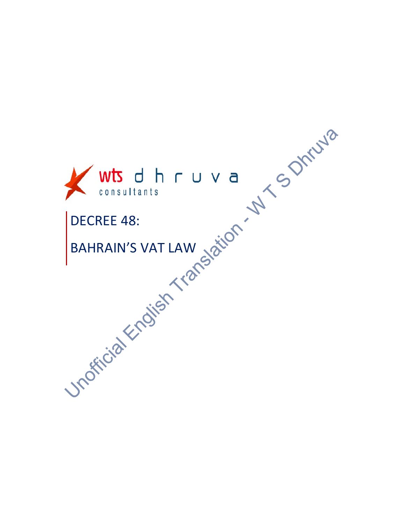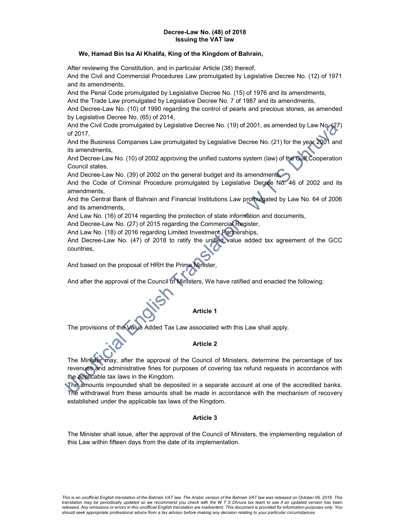#### Decree-Law No. (48) of 2018 Issuing the VAT law

## We, Hamad Bin Isa Al Khalifa, King of the Kingdom of Bahrain,

After reviewing the Constitution, and in particular Article (38) thereof,

And the Civil and Commercial Procedures Law promulgated by Legislative Decree No. (12) of 1971 and its amendments,

And the Penal Code promulgated by Legislative Decree No. (15) of 1976 and its amendments,

And the Trade Law promulgated by Legislative Decree No. 7 of 1987 and its amendments,

And Decree-Law No. (10) of 1990 regarding the control of pearls and precious stones, as amended by Legislative Decree No. (65) of 2014,

And the Civil Code promulgated by Legislative Decree No. (19) of 2001, as amended by Law No. (27) of 2017,

And the Business Companies Law promulgated by Legislative Decree No. (21) for the year 2001 and its amendments,

And Decree-Law No. (10) of 2002 approving the unified customs system (law) of the Gulf Cooperation Council states,

And Decree-Law No. (39) of 2002 on the general budget and its amendments

And the Code of Criminal Procedure promulgated by Legislative Decree No. 46 of 2002 and its amendments,

And the Central Bank of Bahrain and Financial Institutions Law promulgated by Law No. 64 of 2006 and its amendments,

And Law No. (16) of 2014 regarding the protection of state information and documents,

And Decree-Law No. (27) of 2015 regarding the Commercial Register,

And Law No. (18) of 2016 regarding Limited Investment Partnerships,

And Decree-Law No. (47) of 2018 to ratify the unified value added tax agreement of the GCC countries,

And based on the proposal of HRH the Prime Minister,

And after the approval of the Council of Ministers, We have ratified and enacted the following:

## Article 1

The provisions of the Value Added Tax Law associated with this Law shall apply.

#### Article 2

The Minister may, after the approval of the Council of Ministers, determine the percentage of tax revenues and administrative fines for purposes of covering tax refund requests in accordance with the applicable tax laws in the Kingdom.

The amounts impounded shall be deposited in a separate account at one of the accredited banks. The withdrawal from these amounts shall be made in accordance with the mechanism of recovery established under the applicable tax laws of the Kingdom.

## Article 3

The Minister shall issue, after the approval of the Council of Ministers, the implementing regulation of this Law within fifteen days from the date of its implementation.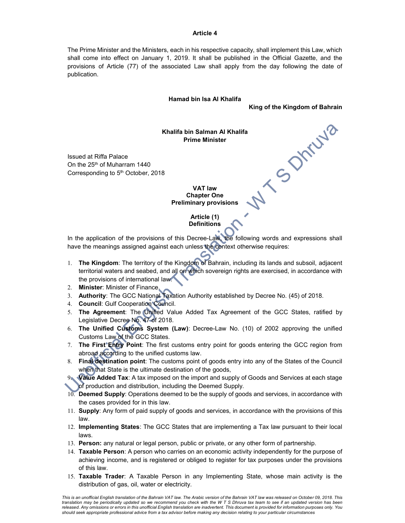#### Article 4

The Prime Minister and the Ministers, each in his respective capacity, shall implement this Law, which shall come into effect on January 1, 2019. It shall be published in the Official Gazette, and the provisions of Article (77) of the associated Law shall apply from the day following the date of publication.

#### Hamad bin Isa Al Khalifa

King of the Kingdom of Bahrain

V S Drivys

Khalifa bin Salman Al Khalifa Prime Minister

Issued at Riffa Palace On the 25<sup>th</sup> of Muharram 1440 Corresponding to 5<sup>th</sup> October, 2018

> VAT law Chapter One Preliminary provisions

> > Article (1) Definitions

In the application of the provisions of this Decree-Law, the following words and expressions shall have the meanings assigned against each unless the context otherwise requires:  $\boldsymbol{c}$ 

- 1. The Kingdom: The territory of the Kingdom of Bahrain, including its lands and subsoil, adjacent territorial waters and seabed, and all on which sovereign rights are exercised, in accordance with the provisions of international law.
- 2. Minister: Minister of Finance.
- 3. Authority: The GCC National Taxation Authority established by Decree No. (45) of 2018.
- 4. Council: Gulf Cooperation Council.
- 5. The Agreement: The Unified Value Added Tax Agreement of the GCC States, ratified by Legislative Decree No. 47 of 2018.
- 6. The Unified Customs System (Law): Decree-Law No. (10) of 2002 approving the unified Customs Law of the GCC States.
- 7. The First Entry Point: The first customs entry point for goods entering the GCC region from abroad according to the unified customs law.
- 8. Final destination point: The customs point of goods entry into any of the States of the Council when that State is the ultimate destination of the goods,

9. Value Added Tax: A tax imposed on the import and supply of Goods and Services at each stage of production and distribution, including the Deemed Supply.

- 10. Deemed Supply: Operations deemed to be the supply of goods and services, in accordance with the cases provided for in this law.
- 11. Supply: Any form of paid supply of goods and services, in accordance with the provisions of this law.
- 12. Implementing States: The GCC States that are implementing a Tax law pursuant to their local laws.
- 13. Person: any natural or legal person, public or private, or any other form of partnership.
- 14. Taxable Person: A person who carries on an economic activity independently for the purpose of achieving income, and is registered or obliged to register for tax purposes under the provisions of this law.
- 15. Taxable Trader: A Taxable Person in any Implementing State, whose main activity is the distribution of gas, oil, water or electricity.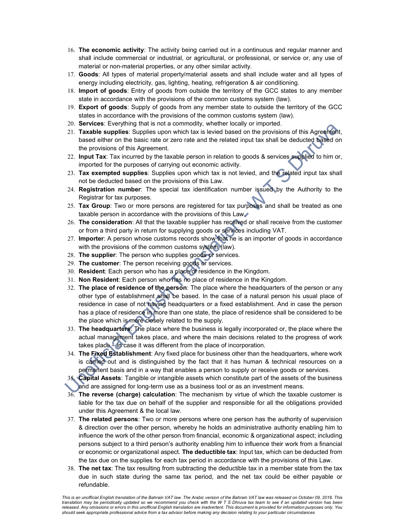- 16. The economic activity: The activity being carried out in a continuous and regular manner and shall include commercial or industrial, or agricultural, or professional, or service or, any use of material or non-material properties, or any other similar activity.
- 17. Goods: All types of material property/material assets and shall include water and all types of energy including electricity, gas, lighting, heating, refrigeration & air conditioning.
- 18. Import of goods: Entry of goods from outside the territory of the GCC states to any member state in accordance with the provisions of the common customs system (law).
- 19. Export of goods: Supply of goods from any member state to outside the territory of the GCC states in accordance with the provisions of the common customs system (law).
- 20. Services: Everything that is not a commodity, whether locally or imported.
- 21. Taxable supplies: Supplies upon which tax is levied based on the provisions of this Agreement, based either on the basic rate or zero rate and the related input tax shall be deducted based on the provisions of this Agreement.
- 22. Input Tax: Tax incurred by the taxable person in relation to goods & services supplied to him or, imported for the purposes of carrying out economic activity.
- 23. Tax exempted supplies: Supplies upon which tax is not levied, and the related input tax shall not be deducted based on the provisions of this Law.
- 24. Registration number: The special tax identification number issued by the Authority to the Registrar for tax purposes.
- 25. Tax Group: Two or more persons are registered for tax purposes and shall be treated as one taxable person in accordance with the provisions of this Law,
- 26. The consideration: All that the taxable supplier has received or shall receive from the customer or from a third party in return for supplying goods or services including VAT.
- 27. Importer: A person whose customs records show that he is an importer of goods in accordance with the provisions of the common customs system (law).
- 28. The supplier: The person who supplies goods or services.
- 29. The customer: The person receiving goods or services.
- 30. Resident: Each person who has a place of residence in the Kingdom.
- 31. Non Resident: Each person who has no place of residence in the Kingdom.
- 32. The place of residence of the person: The place where the headquarters of the person or any other type of establishment shall be based. In the case of a natural person his usual place of residence in case of not having headquarters or a fixed establishment. And in case the person has a place of residence in more than one state, the place of residence shall be considered to be the place which is more closely related to the supply.
- 33. The headquarters: The place where the business is legally incorporated or, the place where the actual management takes place, and where the main decisions related to the progress of work takes place – in case it was different from the place of incorporation.
- 34. The Fixed Establishment: Any fixed place for business other than the headquarters, where work is carried out and is distinguished by the fact that it has human & technical resources on a permanent basis and in a way that enables a person to supply or receive goods or services.
- 35. Capital Assets: Tangible or intangible assets which constitute part of the assets of the business and are assigned for long-term use as a business tool or as an investment means.
- $36.$  The reverse (charge) calculation: The mechanism by virtue of which the taxable customer is liable for the tax due on behalf of the supplier and responsible for all the obligations provided under this Agreement & the local law.
- 37. The related persons: Two or more persons where one person has the authority of supervision & direction over the other person, whereby he holds an administrative authority enabling him to influence the work of the other person from financial, economic & organizational aspect; including persons subject to a third person's authority enabling him to influence their work from a financial or economic or organizational aspect. The deductible tax: Input tax, which can be deducted from the tax due on the supplies for each tax period in accordance with the provisions of this Law.
- 38. The net tax: The tax resulting from subtracting the deductible tax in a member state from the tax due in such state during the same tax period, and the net tax could be either payable or refundable.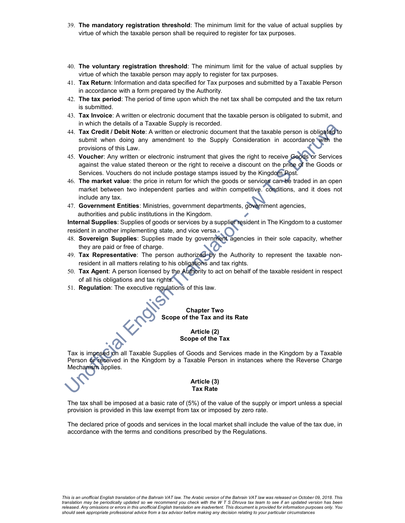- 39. The mandatory registration threshold: The minimum limit for the value of actual supplies by virtue of which the taxable person shall be required to register for tax purposes.
- 40. The voluntary registration threshold: The minimum limit for the value of actual supplies by virtue of which the taxable person may apply to register for tax purposes.
- 41. Tax Return: Information and data specified for Tax purposes and submitted by a Taxable Person in accordance with a form prepared by the Authority.
- 42. The tax period: The period of time upon which the net tax shall be computed and the tax return is submitted.
- 43. Tax Invoice: A written or electronic document that the taxable person is obligated to submit, and in which the details of a Taxable Supply is recorded.
- 44. Tax Credit / Debit Note: A written or electronic document that the taxable person is obligated to submit when doing any amendment to the Supply Consideration in accordance with the provisions of this Law.
- 45. Voucher: Any written or electronic instrument that gives the right to receive Goods or Services against the value stated thereon or the right to receive a discount on the price of the Goods or Services. Vouchers do not include postage stamps issued by the Kingdom Post.
- 46. The market value: the price in return for which the goods or services can be traded in an open market between two independent parties and within competitive. conditions, and it does not include any tax.
- 47. Government Entities: Ministries, government departments, government agencies, authorities and public institutions in the Kingdom.

Internal Supplies: Supplies of goods or services by a supplier resident in The Kingdom to a customer resident in another implementing state, and vice versa.

- 48. Sovereign Supplies: Supplies made by government agencies in their sole capacity, whether they are paid or free of charge.
- 49. Tax Representative: The person authorized by the Authority to represent the taxable nonresident in all matters relating to his obligations and tax rights.
- 50. Tax Agent: A person licensed by the Authority to act on behalf of the taxable resident in respect of all his obligations and tax rights.
- 51. Regulation: The executive regulations of this law.

## Chapter Two Scope of the Tax and its Rate

## Article (2) Scope of the Tax

Tax is imposed on all Taxable Supplies of Goods and Services made in the Kingdom by a Taxable Person or received in the Kingdom by a Taxable Person in instances where the Reverse Charge Mechanism applies.

#### Article (3) Tax Rate

The tax shall be imposed at a basic rate of (5%) of the value of the supply or import unless a special provision is provided in this law exempt from tax or imposed by zero rate.

The declared price of goods and services in the local market shall include the value of the tax due, in accordance with the terms and conditions prescribed by the Regulations.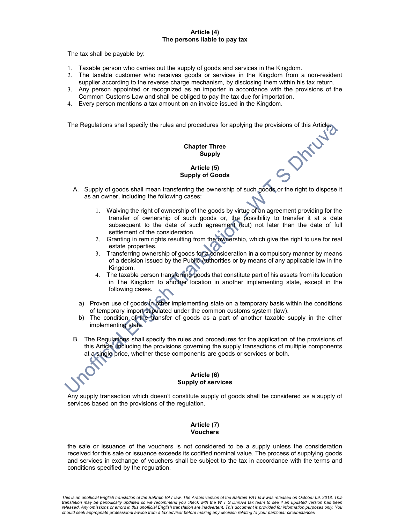#### Article (4) The persons liable to pay tax

The tax shall be payable by:

- 1. Taxable person who carries out the supply of goods and services in the Kingdom.
- 2. The taxable customer who receives goods or services in the Kingdom from a non-resident supplier according to the reverse charge mechanism, by disclosing them within his tax return.
- 3. Any person appointed or recognized as an importer in accordance with the provisions of the Common Customs Law and shall be obliged to pay the tax due for importation.
- 4. Every person mentions a tax amount on an invoice issued in the Kingdom.

The Regulations shall specify the rules and procedures for applying the provisions of this Article.<br> **Chapter Three**<br>
Supply

## Chapter Three Supply

## Article (5) Supply of Goods

- A. Supply of goods shall mean transferring the ownership of such goods or the right to dispose it as an owner, including the following cases:
	- 1. Waiving the right of ownership of the goods by virtue of an agreement providing for the transfer of ownership of such goods or, the possibility to transfer it at a date subsequent to the date of such agreement (but) not later than the date of full settlement of the consideration.
	- 2. Granting in rem rights resulting from the ownership, which give the right to use for real estate properties.
	- 3. Transferring ownership of goods for a consideration in a compulsory manner by means of a decision issued by the Public Authorities or by means of any applicable law in the Kingdom.
	- 4. The taxable person transferring goods that constitute part of his assets from its location in The Kingdom to another location in another implementing state, except in the following cases.
	- a) Proven use of goods in other implementing state on a temporary basis within the conditions of temporary import stipulated under the common customs system (law).
	- b) The condition of the transfer of goods as a part of another taxable supply in the other implementing state.
- B. The Regulations shall specify the rules and procedures for the application of the provisions of this Article, including the provisions governing the supply transactions of multiple components at a single price, whether these components are goods or services or both.

#### Article (6) Supply of services

Any supply transaction which doesn't constitute supply of goods shall be considered as a supply of services based on the provisions of the regulation.

## Article (7) Vouchers

the sale or issuance of the vouchers is not considered to be a supply unless the consideration received for this sale or issuance exceeds its codified nominal value. The process of supplying goods and services in exchange of vouchers shall be subject to the tax in accordance with the terms and conditions specified by the regulation.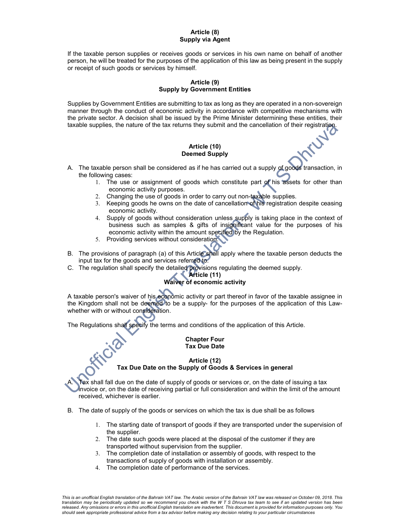#### Article (8) Supply via Agent

If the taxable person supplies or receives goods or services in his own name on behalf of another person, he will be treated for the purposes of the application of this law as being present in the supply or receipt of such goods or services by himself.

## Article (9) Supply by Government Entities

Supplies by Government Entities are submitting to tax as long as they are operated in a non-sovereign manner through the conduct of economic activity in accordance with competitive mechanisms with the private sector. A decision shall be issued by the Prime Minister determining these entities, their taxable supplies, the nature of the tax returns they submit and the cancellation of their registration.

#### Article (10) Deemed Supply

- A. The taxable person shall be considered as if he has carried out a supply of goods transaction, in the following cases:
	- 1. The use or assignment of goods which constitute part of his assets for other than economic activity purposes.
	- 2. Changing the use of goods in order to carry out non-taxable supplies.
	- 3. Keeping goods he owns on the date of cancellation of his registration despite ceasing economic activity.
	- 4. Supply of goods without consideration unless supply is taking place in the context of business such as samples & gifts of insignificant value for the purposes of his economic activity within the amount specified by the Regulation.
	- 5. Providing services without consideration.
- B. The provisions of paragraph (a) of this Article shall apply where the taxable person deducts the input tax for the goods and services referred to.
- C. The regulation shall specify the detailed provisions regulating the deemed supply.

## Article (11) Waiver of economic activity

A taxable person's waiver of his economic activity or part thereof in favor of the taxable assignee in the Kingdom shall not be deemed to be a supply- for the purposes of the application of this Lawwhether with or without consideration.

The Regulations shall specify the terms and conditions of the application of this Article.

#### Chapter Four Tax Due Date

## Article (12) Tax Due Date on the Supply of Goods & Services in general

Tax shall fall due on the date of supply of goods or services or, on the date of issuing a tax invoice or, on the date of receiving partial or full consideration and within the limit of the amount received, whichever is earlier.

- B. The date of supply of the goods or services on which the tax is due shall be as follows
	- 1. The starting date of transport of goods if they are transported under the supervision of the supplier.
	- 2. The date such goods were placed at the disposal of the customer if they are transported without supervision from the supplier.
	- 3. The completion date of installation or assembly of goods, with respect to the transactions of supply of goods with installation or assembly.
	- 4. The completion date of performance of the services.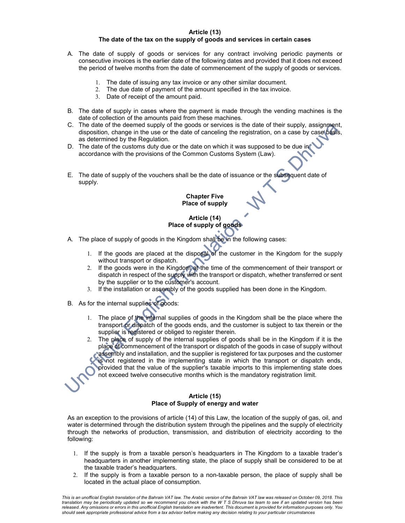#### Article (13)

## The date of the tax on the supply of goods and services in certain cases

- A. The date of supply of goods or services for any contract involving periodic payments or consecutive invoices is the earlier date of the following dates and provided that it does not exceed the period of twelve months from the date of commencement of the supply of goods or services.
	- 1. The date of issuing any tax invoice or any other similar document.
	- 2. The due date of payment of the amount specified in the tax invoice.
	- 3. Date of receipt of the amount paid.
- B. The date of supply in cases where the payment is made through the vending machines is the date of collection of the amounts paid from these machines.
- C. The date of the deemed supply of the goods or services is the date of their supply, assignment, disposition, change in the use or the date of canceling the registration, on a case by case basis, as determined by the Regulation.
- D. The date of the customs duty due or the date on which it was supposed to be due in accordance with the provisions of the Common Customs System (Law).
- E. The date of supply of the vouchers shall be the date of issuance or the subsequent date of supply.

Chapter Five Place of supply

## Article (14) Place of supply of goods

- A. The place of supply of goods in the Kingdom shall be in the following cases:
	- 1. If the goods are placed at the disposal of the customer in the Kingdom for the supply without transport or dispatch.
	- 2. If the goods were in the Kingdom at the time of the commencement of their transport or dispatch in respect of the supply with the transport or dispatch, whether transferred or sent by the supplier or to the customer's account.
	- 3. If the installation or assembly of the goods supplied has been done in the Kingdom.
- B. As for the internal supplies of goods:
	- 1. The place of the internal supplies of goods in the Kingdom shall be the place where the transport or dispatch of the goods ends, and the customer is subject to tax therein or the supplier is registered or obliged to register therein.
	- 2. The place of supply of the internal supplies of goods shall be in the Kingdom if it is the place of commencement of the transport or dispatch of the goods in case of supply without assembly and installation, and the supplier is registered for tax purposes and the customer is not registered in the implementing state in which the transport or dispatch ends, provided that the value of the supplier's taxable imports to this implementing state does not exceed twelve consecutive months which is the mandatory registration limit.

#### Article (15) Place of Supply of energy and water

As an exception to the provisions of article (14) of this Law, the location of the supply of gas, oil, and water is determined through the distribution system through the pipelines and the supply of electricity through the networks of production, transmission, and distribution of electricity according to the following:

- 1. If the supply is from a taxable person's headquarters in The Kingdom to a taxable trader's headquarters in another implementing state, the place of supply shall be considered to be at the taxable trader's headquarters.
- 2. If the supply is from a taxable person to a non-taxable person, the place of supply shall be located in the actual place of consumption.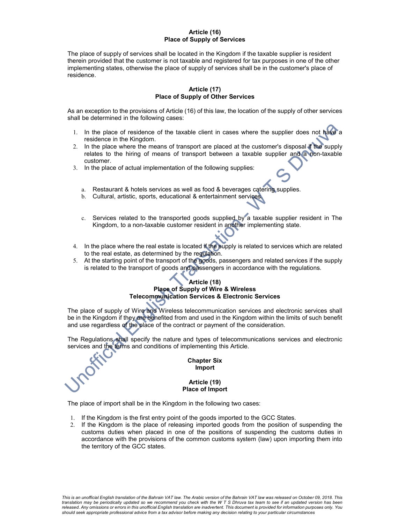#### Article (16) Place of Supply of Services

The place of supply of services shall be located in the Kingdom if the taxable supplier is resident therein provided that the customer is not taxable and registered for tax purposes in one of the other implementing states, otherwise the place of supply of services shall be in the customer's place of residence.

#### Article (17) Place of Supply of Other Services

As an exception to the provisions of Article (16) of this law, the location of the supply of other services shall be determined in the following cases:

- 1. In the place of residence of the taxable client in cases where the supplier does not have a residence in the Kingdom.
- 2. In the place where the means of transport are placed at the customer's disposal if the supply relates to the hiring of means of transport between a taxable supplier and a non-taxable customer.
- 3. In the place of actual implementation of the following supplies:
	- a. Restaurant & hotels services as well as food & beverages catering supplies.
	- b. Cultural, artistic, sports, educational & entertainment services.
	- c. Services related to the transported goods supplied by a taxable supplier resident in The Kingdom, to a non-taxable customer resident in another implementing state.
- 4. In the place where the real estate is located if the supply is related to services which are related to the real estate, as determined by the regulation.
- 5. At the starting point of the transport of the goods, passengers and related services if the supply is related to the transport of goods and passengers in accordance with the regulations.

## Article (18) Place of Supply of Wire & Wireless Telecommunication Services & Electronic Services

The place of supply of Wire and Wireless telecommunication services and electronic services shall be in the Kingdom if they are benefited from and used in the Kingdom within the limits of such benefit and use regardless of the place of the contract or payment of the consideration.

The Regulations shall specify the nature and types of telecommunications services and electronic services and the terms and conditions of implementing this Article.

#### Chapter Six Import

#### Article (19) Place of Import

The place of import shall be in the Kingdom in the following two cases:

- 1. If the Kingdom is the first entry point of the goods imported to the GCC States.
- 2. If the Kingdom is the place of releasing imported goods from the position of suspending the customs duties when placed in one of the positions of suspending the customs duties in accordance with the provisions of the common customs system (law) upon importing them into the territory of the GCC states.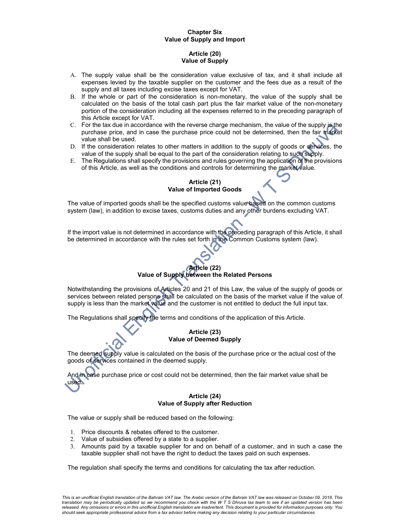## Chapter Six Value of Supply and Import

## Article (20) Value of Supply

- A. The supply value shall be the consideration value exclusive of tax, and it shall include all expenses levied by the taxable supplier on the customer and the fees due as a result of the supply and all taxes including excise taxes except for VAT.
- B. If the whole or part of the consideration is non-monetary, the value of the supply shall be calculated on the basis of the total cash part plus the fair market value of the non-monetary portion of the consideration including all the expenses referred to in the preceding paragraph of this Article except for VAT.
- C. For the tax due in accordance with the reverse charge mechanism, the value of the supply is the purchase price, and in case the purchase price could not be determined, then the fair market value shall be used.
- D. If the consideration relates to other matters in addition to the supply of goods or services, the value of the supply shall be equal to the part of the consideration relating to such supply.
- E. The Regulations shall specify the provisions and rules governing the application of the provisions of this Article, as well as the conditions and controls for determining the market value.

## Article (21) Value of Imported Goods

The value of imported goods shall be the specified customs value based on the common customs system (law), in addition to excise taxes, customs duties and any other burdens excluding VAT.

If the import value is not determined in accordance with the preceding paragraph of this Article, it shall be determined in accordance with the rules set forth in the Common Customs system (law).

## Article (22) Value of Supply between the Related Persons

Notwithstanding the provisions of Articles 20 and 21 of this Law, the value of the supply of goods or services between related persons shall be calculated on the basis of the market value if the value of supply is less than the market value and the customer is not entitled to deduct the full input tax.

The Regulations shall specify the terms and conditions of the application of this Article.

## Article (23) Value of Deemed Supply

The deemed supply value is calculated on the basis of the purchase price or the actual cost of the goods or services contained in the deemed supply.

And in case purchase price or cost could not be determined, then the fair market value shall be used.

#### Article (24) Value of Supply after Reduction

The value or supply shall be reduced based on the following:

- 1. Price discounts & rebates offered to the customer.
- 2. Value of subsidies offered by a state to a supplier.
- 3. Amounts paid by a taxable supplier for and on behalf of a customer, and in such a case the taxable supplier shall not have the right to deduct the taxes paid on such expenses.

The regulation shall specify the terms and conditions for calculating the tax after reduction.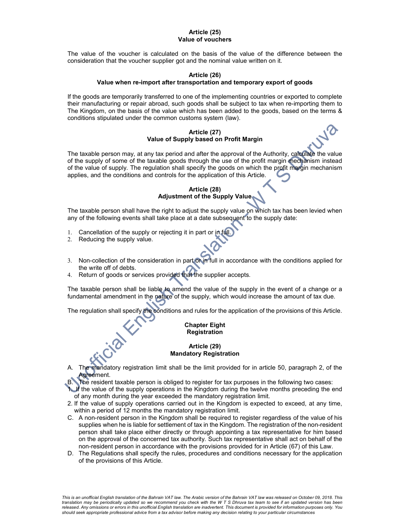#### Article (25) Value of vouchers

The value of the voucher is calculated on the basis of the value of the difference between the consideration that the voucher supplier got and the nominal value written on it.

## Article (26)

#### Value when re-import after transportation and temporary export of goods

If the goods are temporarily transferred to one of the implementing countries or exported to complete their manufacturing or repair abroad, such goods shall be subject to tax when re-importing them to The Kingdom, on the basis of the value which has been added to the goods, based on the terms & conditions stipulated under the common customs system (law).

## Article (27) Value of Supply based on Profit Margin

The taxable person may, at any tax period and after the approval of the Authority, calculate the value of the supply of some of the taxable goods through the use of the profit margin mechanism instead of the value of supply. The regulation shall specify the goods on which the profit margin mechanism applies, and the conditions and controls for the application of this Article.

## Article (28) Adjustment of the Supply Value

The taxable person shall have the right to adjust the supply value on which tax has been levied when any of the following events shall take place at a date subsequent to the supply date:

- 1. Cancellation of the supply or rejecting it in part or in full.
- 2. Reducing the supply value.
- 3. Non-collection of the consideration in part or in full in accordance with the conditions applied for the write off of debts.
- 4. Return of goods or services provided that the supplier accepts.

The taxable person shall be liable to amend the value of the supply in the event of a change or a fundamental amendment in the nature of the supply, which would increase the amount of tax due.

The regulation shall specify the conditions and rules for the application of the provisions of this Article.

#### Chapter Eight Registration

#### Article (29) Mandatory Registration

- The mandatory registration limit shall be the limit provided for in article 50, paragraph 2, of the Agreement.
- B. The resident taxable person is obliged to register for tax purposes in the following two cases:

 $1.$  If the value of the supply operations in the Kingdom during the twelve months preceding the end of any month during the year exceeded the mandatory registration limit.

- 2. If the value of supply operations carried out in the Kingdom is expected to exceed, at any time, within a period of 12 months the mandatory registration limit.
- C. A non-resident person in the Kingdom shall be required to register regardless of the value of his supplies when he is liable for settlement of tax in the Kingdom. The registration of the non-resident person shall take place either directly or through appointing a tax representative for him based on the approval of the concerned tax authority. Such tax representative shall act on behalf of the non-resident person in accordance with the provisions provided for in Article (67) of this Law.
- D. The Regulations shall specify the rules, procedures and conditions necessary for the application of the provisions of this Article.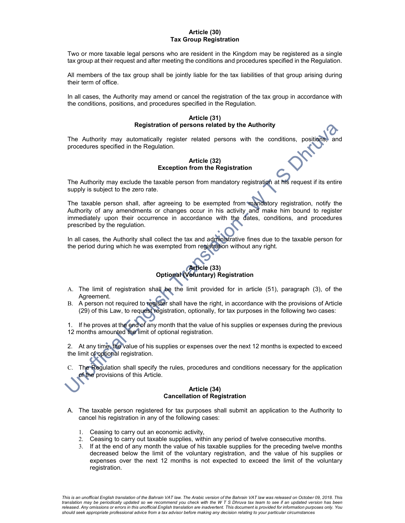#### Article (30) Tax Group Registration

Two or more taxable legal persons who are resident in the Kingdom may be registered as a single tax group at their request and after meeting the conditions and procedures specified in the Regulation.

All members of the tax group shall be jointly liable for the tax liabilities of that group arising during their term of office.

In all cases, the Authority may amend or cancel the registration of the tax group in accordance with the conditions, positions, and procedures specified in the Regulation.

#### Article (31) Registration of persons related by the Authority

The Authority may automatically register related persons with the conditions, positions, procedures specified in the Regulation.

### Article (32) Exception from the Registration

The Authority may exclude the taxable person from mandatory registration at his request if its entire supply is subject to the zero rate.

The taxable person shall, after agreeing to be exempted from mandatory registration, notify the Authority of any amendments or changes occur in his activity and make him bound to register immediately upon their occurrence in accordance with the dates, conditions, and procedures prescribed by the regulation.

In all cases, the Authority shall collect the tax and administrative fines due to the taxable person for the period during which he was exempted from registration without any right.

## Article (33) Optional (Voluntary) Registration

- A. The limit of registration shall be the limit provided for in article (51), paragraph (3), of the Agreement.
- B. A person not required to register shall have the right, in accordance with the provisions of Article (29) of this Law, to request registration, optionally, for tax purposes in the following two cases:

1. If he proves at the end of any month that the value of his supplies or expenses during the previous 12 months amounted the limit of optional registration.

2. At any time, the value of his supplies or expenses over the next 12 months is expected to exceed the limit of optional registration.

C. The Regulation shall specify the rules, procedures and conditions necessary for the application of the provisions of this Article.

#### Article (34) Cancellation of Registration

- A. The taxable person registered for tax purposes shall submit an application to the Authority to cancel his registration in any of the following cases:
	- 1. Ceasing to carry out an economic activity,
	- 2. Ceasing to carry out taxable supplies, within any period of twelve consecutive months.
	- 3. If at the end of any month the value of his taxable supplies for the preceding twelve months decreased below the limit of the voluntary registration, and the value of his supplies or expenses over the next 12 months is not expected to exceed the limit of the voluntary registration.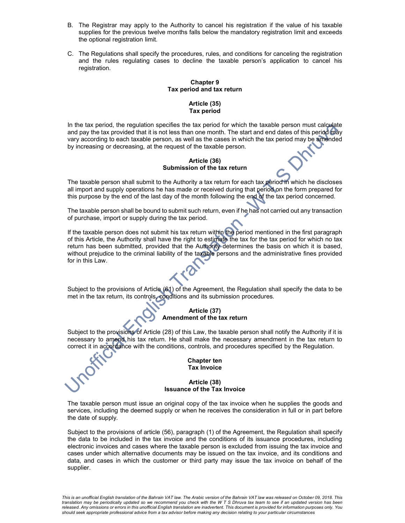- B. The Registrar may apply to the Authority to cancel his registration if the value of his taxable supplies for the previous twelve months falls below the mandatory registration limit and exceeds the optional registration limit.
- C. The Regulations shall specify the procedures, rules, and conditions for canceling the registration and the rules regulating cases to decline the taxable person's application to cancel his registration.

## Chapter 9 Tax period and tax return

#### Article (35) Tax period

In the tax period, the regulation specifies the tax period for which the taxable person must calculate and pay the tax provided that it is not less than one month. The start and end dates of this period may vary according to each taxable person, as well as the cases in which the tax period may be amended by increasing or decreasing, at the request of the taxable person.

#### Article (36) Submission of the tax return

The taxable person shall submit to the Authority a tax return for each tax period in which he discloses all import and supply operations he has made or received during that period on the form prepared for this purpose by the end of the last day of the month following the end of the tax period concerned.

The taxable person shall be bound to submit such return, even if he has not carried out any transaction of purchase, import or supply during the tax period.

If the taxable person does not submit his tax return within the period mentioned in the first paragraph of this Article, the Authority shall have the right to estimate the tax for the tax period for which no tax return has been submitted, provided that the Authority determines the basis on which it is based, without prejudice to the criminal liability of the taxable persons and the administrative fines provided for in this Law.

Subject to the provisions of Article (61) of the Agreement, the Regulation shall specify the data to be met in the tax return, its controls, conditions and its submission procedures.

## Article (37) Amendment of the tax return

Subject to the provisions of Article (28) of this Law, the taxable person shall notify the Authority if it is necessary to amend his tax return. He shall make the necessary amendment in the tax return to correct it in accordance with the conditions, controls, and procedures specified by the Regulation.

#### Chapter ten Tax Invoice

#### Article (38) Issuance of the Tax Invoice

The taxable person must issue an original copy of the tax invoice when he supplies the goods and services, including the deemed supply or when he receives the consideration in full or in part before the date of supply.

Subject to the provisions of article (56), paragraph (1) of the Agreement, the Regulation shall specify the data to be included in the tax invoice and the conditions of its issuance procedures, including electronic invoices and cases where the taxable person is excluded from issuing the tax invoice and cases under which alternative documents may be issued on the tax invoice, and its conditions and data, and cases in which the customer or third party may issue the tax invoice on behalf of the supplier.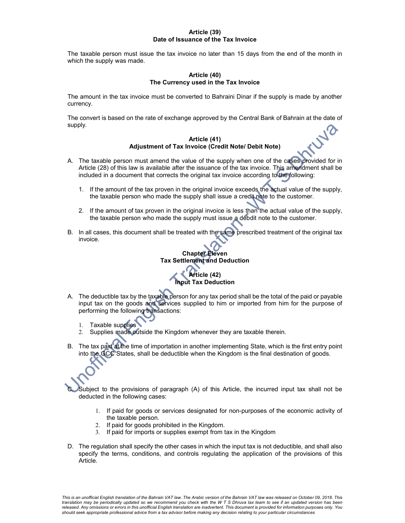#### Article (39) Date of Issuance of the Tax Invoice

The taxable person must issue the tax invoice no later than 15 days from the end of the month in which the supply was made.

#### Article (40) The Currency used in the Tax Invoice

The amount in the tax invoice must be converted to Bahraini Dinar if the supply is made by another currency.

The convert is based on the rate of exchange approved by the Central Bank of Bahrain at the date of supply.

#### Article (41) Adjustment of Tax Invoice (Credit Note/ Debit Note)

- A. The taxable person must amend the value of the supply when one of the cases provided for in Article (28) of this law is available after the issuance of the tax invoice. This amendment shall be included in a document that corrects the original tax invoice according to the following:
	- 1. If the amount of the tax proven in the original invoice exceeds the actual value of the supply, the taxable person who made the supply shall issue a credit note to the customer.
	- 2. If the amount of tax proven in the original invoice is less than the actual value of the supply, the taxable person who made the supply must issue a debdit note to the customer.
- B. In all cases, this document shall be treated with the same prescribed treatment of the original tax invoice.

Chapter Eleven Tax Settlement and Deduction Article (42) Input Tax Deduction

- A. The deductible tax by the taxable person for any tax period shall be the total of the paid or payable input tax on the goods and services supplied to him or imported from him for the purpose of performing the following transactions:
	- 1. Taxable supplies
	- 2. Supplies made outside the Kingdom whenever they are taxable therein.
- B. The tax paid at the time of importation in another implementing State, which is the first entry point into the GCC States, shall be deductible when the Kingdom is the final destination of goods.

Subject to the provisions of paragraph (A) of this Article, the incurred input tax shall not be deducted in the following cases:

- 1. If paid for goods or services designated for non-purposes of the economic activity of the taxable person.
- 2. If paid for goods prohibited in the Kingdom.
- 3. If paid for imports or supplies exempt from tax in the Kingdom
- D. The regulation shall specify the other cases in which the input tax is not deductible, and shall also specify the terms, conditions, and controls regulating the application of the provisions of this Article.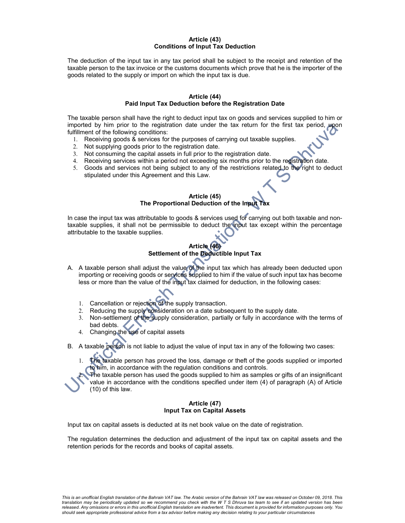#### Article (43) Conditions of Input Tax Deduction

The deduction of the input tax in any tax period shall be subject to the receipt and retention of the taxable person to the tax invoice or the customs documents which prove that he is the importer of the goods related to the supply or import on which the input tax is due.

#### Article (44) Paid Input Tax Deduction before the Registration Date

The taxable person shall have the right to deduct input tax on goods and services supplied to him or imported by him prior to the registration date under the tax return for the first tax period, upon fulfillment of the following conditions:

- 1. Receiving goods & services for the purposes of carrying out taxable supplies.
- 2. Not supplying goods prior to the registration date.
- 3. Not consuming the capital assets in full prior to the registration date.
- 4. Receiving services within a period not exceeding six months prior to the registration date.
- 5. Goods and services not being subject to any of the restrictions related to the right to deduct stipulated under this Agreement and this Law.

### Article (45) The Proportional Deduction of the Input Tax

In case the input tax was attributable to goods & services used for carrying out both taxable and nontaxable supplies, it shall not be permissible to deduct the input tax except within the percentage attributable to the taxable supplies.

#### Article (46) Settlement of the Deductible Input Tax

- A. A taxable person shall adjust the value of the input tax which has already been deducted upon importing or receiving goods or services supplied to him if the value of such input tax has become less or more than the value of the input tax claimed for deduction, in the following cases:
	- 1. Cancellation or rejection of the supply transaction.
	- 2. Reducing the supply consideration on a date subsequent to the supply date.
	- 3. Non-settlement of the supply consideration, partially or fully in accordance with the terms of bad debts.
	- 4. Changing the use of capital assets

B. A taxable person is not liable to adjust the value of input tax in any of the following two cases:

1. The taxable person has proved the loss, damage or theft of the goods supplied or imported to him, in accordance with the regulation conditions and controls.

The taxable person has used the goods supplied to him as samples or gifts of an insignificant value in accordance with the conditions specified under item (4) of paragraph (A) of Article (10) of this law.

#### Article (47) Input Tax on Capital Assets

Input tax on capital assets is deducted at its net book value on the date of registration.

The regulation determines the deduction and adjustment of the input tax on capital assets and the retention periods for the records and books of capital assets.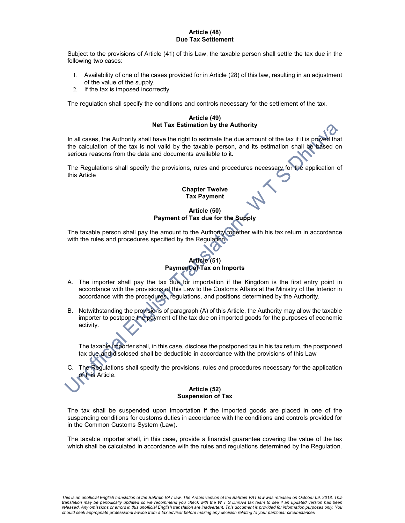#### Article (48) Due Tax Settlement

Subject to the provisions of Article (41) of this Law, the taxable person shall settle the tax due in the following two cases:

- 1. Availability of one of the cases provided for in Article (28) of this law, resulting in an adjustment of the value of the supply.
- 2. If the tax is imposed incorrectly

The regulation shall specify the conditions and controls necessary for the settlement of the tax.

#### Article (49) Net Tax Estimation by the Authority

In all cases, the Authority shall have the right to estimate the due amount of the tax if it is proved that the calculation of the tax is not valid by the taxable person, and its estimation shall be based on serious reasons from the data and documents available to it.

The Regulations shall specify the provisions, rules and procedures necessary for the application of this Article

#### Chapter Twelve Tax Payment

## Article (50) Payment of Tax due for the Supply

The taxable person shall pay the amount to the Authority together with his tax return in accordance with the rules and procedures specified by the Regulation.

# Article (51) Payment of Tax on Imports

- A. The importer shall pay the tax due for importation if the Kingdom is the first entry point in accordance with the provisions of this Law to the Customs Affairs at the Ministry of the Interior in accordance with the procedures, regulations, and positions determined by the Authority.
- B. Notwithstanding the provisions of paragraph (A) of this Article, the Authority may allow the taxable importer to postpone the payment of the tax due on imported goods for the purposes of economic activity.

The taxable importer shall, in this case, disclose the postponed tax in his tax return, the postponed tax due and disclosed shall be deductible in accordance with the provisions of this Law

The Regulations shall specify the provisions, rules and procedures necessary for the application of this Article.

#### Article (52) Suspension of Tax

The tax shall be suspended upon importation if the imported goods are placed in one of the suspending conditions for customs duties in accordance with the conditions and controls provided for in the Common Customs System (Law).

The taxable importer shall, in this case, provide a financial guarantee covering the value of the tax which shall be calculated in accordance with the rules and regulations determined by the Regulation.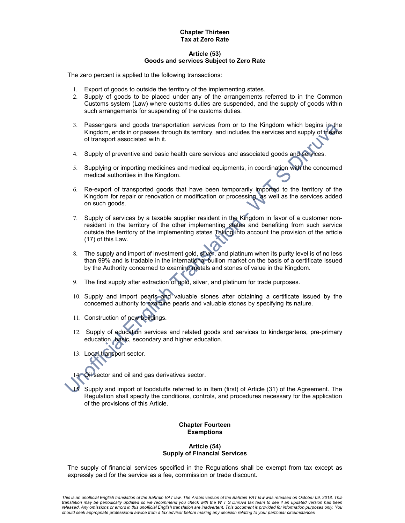#### Chapter Thirteen Tax at Zero Rate

#### Article (53) Goods and services Subject to Zero Rate

The zero percent is applied to the following transactions:

- 1. Export of goods to outside the territory of the implementing states.
- 2. Supply of goods to be placed under any of the arrangements referred to in the Common Customs system (Law) where customs duties are suspended, and the supply of goods within such arrangements for suspending of the customs duties.
- 3. Passengers and goods transportation services from or to the Kingdom which begins in the Kingdom, ends in or passes through its territory, and includes the services and supply of means of transport associated with it.
- 4. Supply of preventive and basic health care services and associated goods and services.
- 5. Supplying or importing medicines and medical equipments, in coordination with the concerned medical authorities in the Kingdom.
- 6. Re-export of transported goods that have been temporarily imported to the territory of the Kingdom for repair or renovation or modification or processing, as well as the services added on such goods.
- 7. Supply of services by a taxable supplier resident in the Kingdom in favor of a customer nonresident in the territory of the other implementing states and benefiting from such service outside the territory of the implementing states Taking into account the provision of the article (17) of this Law.
- 8. The supply and import of investment gold, silver, and platinum when its purity level is of no less than 99% and is tradable in the international bullion market on the basis of a certificate issued by the Authority concerned to examine metals and stones of value in the Kingdom.
- 9. The first supply after extraction of gold, silver, and platinum for trade purposes.
- 10. Supply and import pearls and valuable stones after obtaining a certificate issued by the concerned authority to examine pearls and valuable stones by specifying its nature.
- 11. Construction of new buildings.
- 12. Supply of education services and related goods and services to kindergartens, pre-primary education, basic, secondary and higher education.
- 13. Local transport sector.

sector and oil and gas derivatives sector.

Supply and import of foodstuffs referred to in Item (first) of Article (31) of the Agreement. The Regulation shall specify the conditions, controls, and procedures necessary for the application of the provisions of this Article.

#### Chapter Fourteen Exemptions

#### Article (54) Supply of Financial Services

The supply of financial services specified in the Regulations shall be exempt from tax except as expressly paid for the service as a fee, commission or trade discount.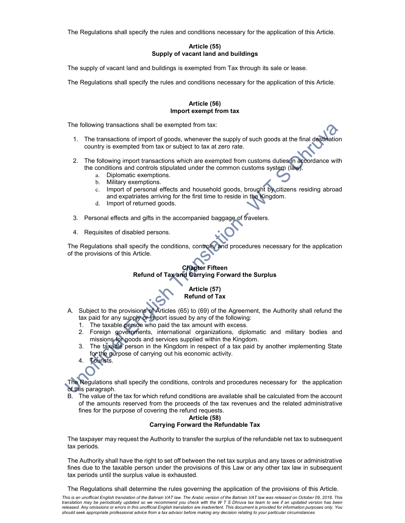The Regulations shall specify the rules and conditions necessary for the application of this Article.

## Article (55) Supply of vacant land and buildings

The supply of vacant land and buildings is exempted from Tax through its sale or lease.

The Regulations shall specify the rules and conditions necessary for the application of this Article.

#### Article (56) Import exempt from tax

The following transactions shall be exempted from tax:

- 1. The transactions of import of goods, whenever the supply of such goods at the final destination country is exempted from tax or subject to tax at zero rate.
- 2. The following import transactions which are exempted from customs duties in accordance with the conditions and controls stipulated under the common customs system (law).
	- a. Diplomatic exemptions.
	- b. Military exemptions.
	- c. Import of personal effects and household goods, brought by citizens residing abroad and expatriates arriving for the first time to reside in the Kingdom.
	- d. Import of returned goods.
- 3. Personal effects and gifts in the accompanied baggage of travelers.
- 4. Requisites of disabled persons.

The Regulations shall specify the conditions, controls, and procedures necessary for the application of the provisions of this Article.

## Chapter Fifteen Refund of Tax and Carrying Forward the Surplus

## Article (57) Refund of Tax

- A. Subject to the provisions of Articles (65) to (69) of the Agreement, the Authority shall refund the tax paid for any supply or import issued by any of the following:
	- 1. The taxable person who paid the tax amount with excess.
	- 2. Foreign governments, international organizations, diplomatic and military bodies and missions for goods and services supplied within the Kingdom.
	- 3. The taxable person in the Kingdom in respect of a tax paid by another implementing State for the purpose of carrying out his economic activity.
	- 4. Tourists.

The Regulations shall specify the conditions, controls and procedures necessary for the application of this paragraph.

B. The value of the tax for which refund conditions are available shall be calculated from the account of the amounts reserved from the proceeds of the tax revenues and the related administrative fines for the purpose of covering the refund requests.

#### Article (58) Carrying Forward the Refundable Tax

The taxpayer may request the Authority to transfer the surplus of the refundable net tax to subsequent tax periods.

The Authority shall have the right to set off between the net tax surplus and any taxes or administrative fines due to the taxable person under the provisions of this Law or any other tax law in subsequent tax periods until the surplus value is exhausted.

The Regulations shall determine the rules governing the application of the provisions of this Article.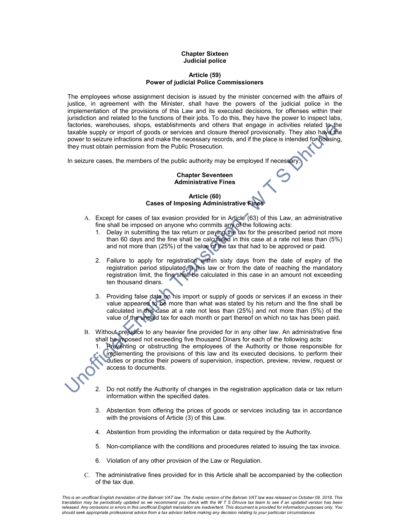#### Chapter Sixteen Judicial police

#### Article (59) Power of judicial Police Commissioners

The employees whose assignment decision is issued by the minister concerned with the affairs of justice, in agreement with the Minister, shall have the powers of the judicial police in the implementation of the provisions of this Law and its executed decisions, for offenses within their jurisdiction and related to the functions of their jobs. To do this, they have the power to inspect labs, factories, warehouses, shops, establishments and others that engage in activities related to the taxable supply or import of goods or services and closure thereof provisionally. They also have the power to seizure infractions and make the necessary records, and if the place is intended for housing, they must obtain permission from the Public Prosecution.

In seizure cases, the members of the public authority may be employed If necessary

#### Chapter Seventeen Administrative Fines

## Article (60) Cases of Imposing Administrative Fines

- A. Except for cases of tax evasion provided for in Article (63) of this Law, an administrative fine shall be imposed on anyone who commits any of the following acts:
	- 1. Delay in submitting the tax return or paying the tax for the prescribed period not more than 60 days and the fine shall be calculated in this case at a rate not less than (5%) and not more than (25%) of the value of the tax that had to be approved or paid.
	- 2. Failure to apply for registration within sixty days from the date of expiry of the registration period stipulated in this law or from the date of reaching the mandatory registration limit, the fine shall be calculated in this case in an amount not exceeding ten thousand dinars.
	- 3. Providing false data on his import or supply of goods or services if an excess in their value appeared to be more than what was stated by his return and the fine shall be calculated in this case at a rate not less than (25%) and not more than (5%) of the value of the unpaid tax for each month or part thereof on which no tax has been paid.
- B. Without prejudice to any heavier fine provided for in any other law. An administrative fine shall be imposed not exceeding five thousand Dinars for each of the following acts:

1. Preventing or obstructing the employees of the Authority or those responsible for implementing the provisions of this law and its executed decisions, to perform their duties or practice their powers of supervision, inspection, preview, review, request or access to documents.

- 2. Do not notify the Authority of changes in the registration application data or tax return information within the specified dates.
- 3. Abstention from offering the prices of goods or services including tax in accordance with the provisions of Article (3) of this Law.
- 4. Abstention from providing the information or data required by the Authority.
- 5. Non-compliance with the conditions and procedures related to issuing the tax invoice.
- 6. Violation of any other provision of the Law or Regulation.
- C. The administrative fines provided for in this Article shall be accompanied by the collection of the tax due.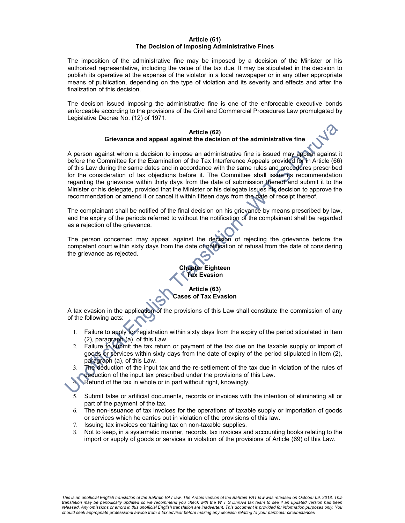#### Article (61) The Decision of Imposing Administrative Fines

The imposition of the administrative fine may be imposed by a decision of the Minister or his authorized representative, including the value of the tax due. It may be stipulated in the decision to publish its operative at the expense of the violator in a local newspaper or in any other appropriate means of publication, depending on the type of violation and its severity and effects and after the finalization of this decision.

The decision issued imposing the administrative fine is one of the enforceable executive bonds enforceable according to the provisions of the Civil and Commercial Procedures Law promulgated by Legislative Decree No. (12) of 1971.

#### Article (62) Grievance and appeal against the decision of the administrative fine

A person against whom a decision to impose an administrative fine is issued may appeal against it before the Committee for the Examination of the Tax Interference Appeals provided for in Article (66) of this Law during the same dates and in accordance with the same rules and procedures prescribed for the consideration of tax objections before it. The Committee shall issue its recommendation regarding the grievance within thirty days from the date of submission thereof and submit it to the Minister or his delegate, provided that the Minister or his delegate issues his decision to approve the recommendation or amend it or cancel it within fifteen days from the date of receipt thereof.

The complainant shall be notified of the final decision on his grievance by means prescribed by law, and the expiry of the periods referred to without the notification of the complainant shall be regarded as a rejection of the grievance.

The person concerned may appeal against the decision of rejecting the grievance before the competent court within sixty days from the date of notification of refusal from the date of considering the grievance as rejected.

# Chapter Eighteen Tax Evasion

#### Article (63) Cases of Tax Evasion

A tax evasion in the application of the provisions of this Law shall constitute the commission of any of the following acts:

- 1. Failure to apply for registration within sixty days from the expiry of the period stipulated in Item (2), paragraph (a), of this Law.
- 2. Failure to submit the tax return or payment of the tax due on the taxable supply or import of goods or services within sixty days from the date of expiry of the period stipulated in Item (2), paragraph (a), of this Law.
- The deduction of the input tax and the re-settlement of the tax due in violation of the rules of deduction of the input tax prescribed under the provisions of this Law.

4. Refund of the tax in whole or in part without right, knowingly.

- 5. Submit false or artificial documents, records or invoices with the intention of eliminating all or part of the payment of the tax.
- 6. The non-issuance of tax invoices for the operations of taxable supply or importation of goods or services which he carries out in violation of the provisions of this law.
- 7. Issuing tax invoices containing tax on non-taxable supplies.
- 8. Not to keep, in a systematic manner, records, tax invoices and accounting books relating to the import or supply of goods or services in violation of the provisions of Article (69) of this Law.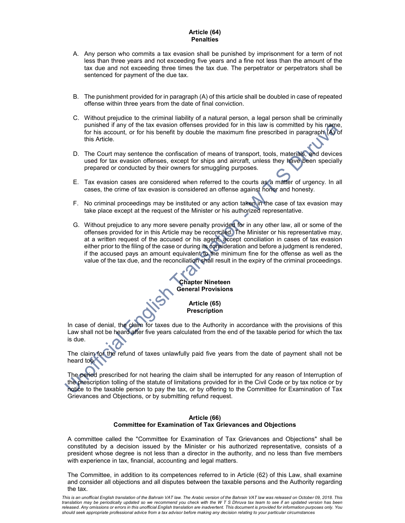#### Article (64) **Penalties**

- A. Any person who commits a tax evasion shall be punished by imprisonment for a term of not less than three years and not exceeding five years and a fine not less than the amount of the tax due and not exceeding three times the tax due. The perpetrator or perpetrators shall be sentenced for payment of the due tax.
- B. The punishment provided for in paragraph (A) of this article shall be doubled in case of repeated offense within three years from the date of final conviction.
- C. Without prejudice to the criminal liability of a natural person, a legal person shall be criminally punished if any of the tax evasion offenses provided for in this law is committed by his name, for his account, or for his benefit by double the maximum fine prescribed in paragraph (A) of this Article.
- D. The Court may sentence the confiscation of means of transport, tools, materials, and devices used for tax evasion offenses, except for ships and aircraft, unless they have been specially prepared or conducted by their owners for smuggling purposes.
- E. Tax evasion cases are considered when referred to the courts as a matter of urgency. In all cases, the crime of tax evasion is considered an offense against honor and honesty.
- F. No criminal proceedings may be instituted or any action taken in the case of tax evasion may take place except at the request of the Minister or his authorized representative.
- G. Without prejudice to any more severe penalty provided for in any other law, all or some of the offenses provided for in this Article may be reconciled. The Minister or his representative may, at a written request of the accused or his agent, accept conciliation in cases of tax evasion either prior to the filing of the case or during its consideration and before a judgment is rendered, if the accused pays an amount equivalent to the minimum fine for the offense as well as the value of the tax due, and the reconciliation shall result in the expiry of the criminal proceedings.



In case of denial, the claim for taxes due to the Authority in accordance with the provisions of this Law shall not be heard after five years calculated from the end of the taxable period for which the tax is due.

The claim for the refund of taxes unlawfully paid five years from the date of payment shall not be heard too.

The period prescribed for not hearing the claim shall be interrupted for any reason of Interruption of the prescription tolling of the statute of limitations provided for in the Civil Code or by tax notice or by notice to the taxable person to pay the tax, or by offering to the Committee for Examination of Tax Grievances and Objections, or by submitting refund request.

#### Article (66) Committee for Examination of Tax Grievances and Objections

A committee called the "Committee for Examination of Tax Grievances and Objections" shall be constituted by a decision issued by the Minister or his authorized representative, consists of a president whose degree is not less than a director in the authority, and no less than five members with experience in tax, financial, accounting and legal matters.

The Committee, in addition to its competences referred to in Article (62) of this Law, shall examine and consider all objections and all disputes between the taxable persons and the Authority regarding the tax.

This is an unofficial English translation of the Bahrain VAT law. The Arabic version of the Bahrain VAT law was released on October 09, 2018. This translation may be periodically updated so we recommend you check with the W T S Dhruva tax team to see if an updated version has been released. Any omissions or errors in this unofficial English translation are inadvertent. This document is provided for information purposes only. You should seek appropriate professional advice from a tax advisor before making any decision relating to your particular circumstances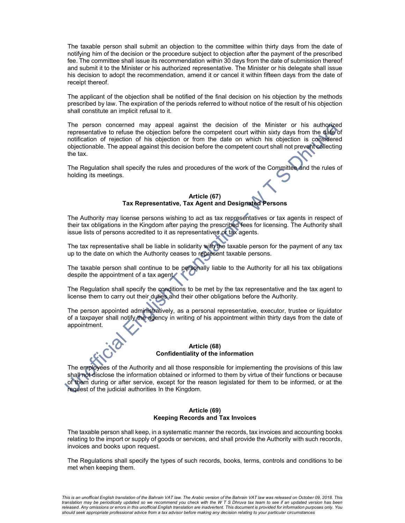The taxable person shall submit an objection to the committee within thirty days from the date of notifying him of the decision or the procedure subject to objection after the payment of the prescribed fee. The committee shall issue its recommendation within 30 days from the date of submission thereof and submit it to the Minister or his authorized representative. The Minister or his delegate shall issue his decision to adopt the recommendation, amend it or cancel it within fifteen days from the date of receipt thereof.

The applicant of the objection shall be notified of the final decision on his objection by the methods prescribed by law. The expiration of the periods referred to without notice of the result of his objection shall constitute an implicit refusal to it.

The person concerned may appeal against the decision of the Minister or his authorized representative to refuse the objection before the competent court within sixty days from the date of notification of rejection of his objection or from the date on which his objection is considered objectionable. The appeal against this decision before the competent court shall not prevent collecting the tax.

The Regulation shall specify the rules and procedures of the work of the Committee and the rules of holding its meetings.

#### Article (67) Tax Representative, Tax Agent and Designated Persons

The Authority may license persons wishing to act as tax representatives or tax agents in respect of their tax obligations in the Kingdom after paying the prescribed fees for licensing. The Authority shall issue lists of persons accredited to it as representatives or tax agents.

The tax representative shall be liable in solidarity with the taxable person for the payment of any tax up to the date on which the Authority ceases to represent taxable persons.

The taxable person shall continue to be personally liable to the Authority for all his tax obligations despite the appointment of a tax agent.

The Regulation shall specify the conditions to be met by the tax representative and the tax agent to license them to carry out their duties and their other obligations before the Authority.

The person appointed administratively, as a personal representative, executor, trustee or liquidator of a taxpayer shall notify the agency in writing of his appointment within thirty days from the date of appointment.

#### Article (68) Confidentiality of the information

The employees of the Authority and all those responsible for implementing the provisions of this law shall not disclose the information obtained or informed to them by virtue of their functions or because of them during or after service, except for the reason legislated for them to be informed, or at the request of the judicial authorities In the Kingdom.

#### Article (69) Keeping Records and Tax Invoices

The taxable person shall keep, in a systematic manner the records, tax invoices and accounting books relating to the import or supply of goods or services, and shall provide the Authority with such records, invoices and books upon request.

The Regulations shall specify the types of such records, books, terms, controls and conditions to be met when keeping them.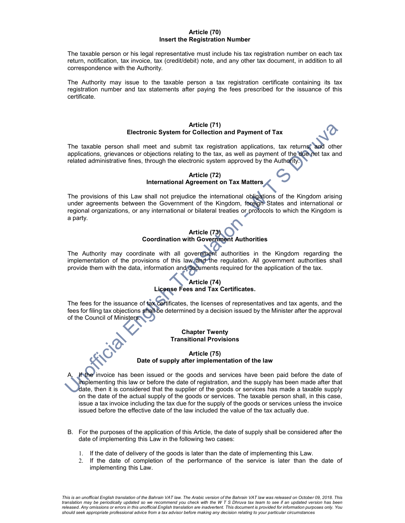#### Article (70) Insert the Registration Number

The taxable person or his legal representative must include his tax registration number on each tax return, notification, tax invoice, tax (credit/debit) note, and any other tax document, in addition to all correspondence with the Authority.

The Authority may issue to the taxable person a tax registration certificate containing its tax registration number and tax statements after paying the fees prescribed for the issuance of this certificate.

#### Article (71) Electronic System for Collection and Payment of Tax

The taxable person shall meet and submit tax registration applications, tax returns, and other applications, grievances or objections relating to the tax, as well as payment of the due net tax and related administrative fines, through the electronic system approved by the Authority.

## Article (72) International Agreement on Tax Matters

The provisions of this Law shall not prejudice the international obligations of the Kingdom arising under agreements between the Government of the Kingdom, foreign States and international or regional organizations, or any international or bilateral treaties or protocols to which the Kingdom is a party.

## Article (73) Coordination with Government Authorities

The Authority may coordinate with all government authorities in the Kingdom regarding the implementation of the provisions of this law and the regulation. All government authorities shall provide them with the data, information and documents required for the application of the tax.

## Article (74) License Fees and Tax Certificates.

The fees for the issuance of tax certificates, the licenses of representatives and tax agents, and the fees for filing tax objections shall be determined by a decision issued by the Minister after the approval of the Council of Ministers.

#### Chapter Twenty Transitional Provisions

## Article (75) Date of supply after implementation of the law

A. If the invoice has been issued or the goods and services have been paid before the date of implementing this law or before the date of registration, and the supply has been made after that date, then it is considered that the supplier of the goods or services has made a taxable supply on the date of the actual supply of the goods or services. The taxable person shall, in this case, issue a tax invoice including the tax due for the supply of the goods or services unless the invoice issued before the effective date of the law included the value of the tax actually due.

- B. For the purposes of the application of this Article, the date of supply shall be considered after the date of implementing this Law in the following two cases:
	- 1. If the date of delivery of the goods is later than the date of implementing this Law.
	- 2. If the date of completion of the performance of the service is later than the date of implementing this Law.